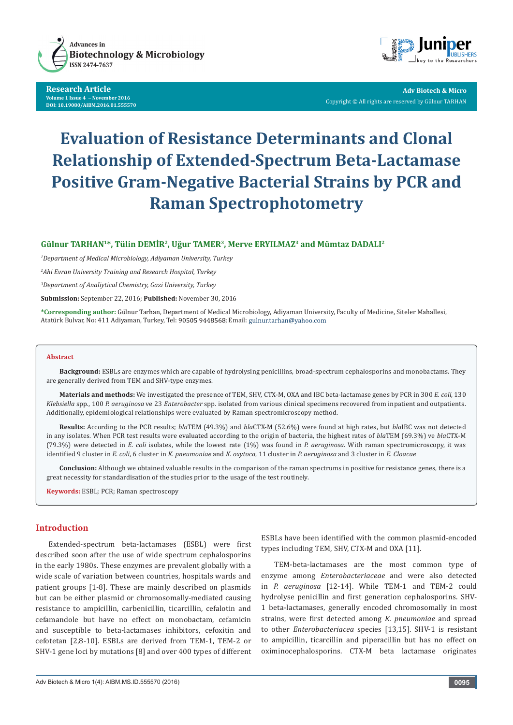

#### **Research Article Volume 1 Issue 4** - **November 2016 DOI: [10.19080/AIBM.2016.01.555570](http://dx.doi.org/10.19080/AIBM.2016.01.555570
)**



**Adv Biotech & Micro** Copyright © All rights are reserved by Gülnur TARHAN

# **Evaluation of Resistance Determinants and Clonal Relationship of Extended-Spectrum Beta-Lactamase Positive Gram-Negative Bacterial Strains by PCR and Raman Spectrophotometry**

# **Gülnur TARHAN1\*, Tülin DEMİR<sup>2</sup>, Uğur TAMER3, Merve ERYILMAZ3 and Mümtaz DADALI2**

*1 Department of Medical Microbiology, Adiyaman University, Turkey*

*2 Ahi Evran University Training and Research Hospital, Turkey* 

*3 Department of Analiytical Chemistry, Gazi University, Turkey*

**Submission:** September 22, 2016; **Published:** November 30, 2016

**\*Corresponding author:** Gülnur Tarhan, Department of Medical Microbiology, Adiyaman University, Faculty of Medicine, Siteler Mahallesi, Atatürk Bulvar, No: 411 Adiyaman, Turkey, Tel: 90505 9448568; Email: gulnur.tarhan@yahoo.com

#### **Abstract**

**Background:** ESBLs are enzymes which are capable of hydrolysing penicillins, broad-spectrum cephalosporins and monobactams. They are generally derived from TEM and SHV-type enzymes.

**Materials and methods:** We investigated the presence of TEM, SHV, CTX-M, OXA and IBC beta-lactamase genes by PCR in 300 *E. coli*, 130 *Klebsiella* spp., 100 *P. aeruginosa* ve 23 *Enterobacter* spp. isolated from various clinical specimens recovered from inpatient and outpatients. Additionally, epidemiological relationships were evaluated by Raman spectromicroscopy method.

**Results:** According to the PCR results; *bla*TEM (49.3%) and *bla*CTX-M (52.6%) were found at high rates, but *bla*IBC was not detected in any isolates. When PCR test results were evaluated according to the origin of bacteria, the highest rates of *bla*TEM (69.3%) ve *bla*CTX-M (79.3%) were detected in *E. coli* isolates, while the lowest rate (1%) was found in *P. aeruginosa*. With raman spectromicroscopy, it was identified 9 cluster in *E. coli*, 6 cluster in *K. pneumoniae* and *K. oxytoca*, 11 cluster in *P. aeruginosa* and 3 cluster in *E. Cloacae*

**Conclusion:** Although we obtained valuable results in the comparison of the raman spectrums in positive for resistance genes, there is a great necessity for standardisation of the studies prior to the usage of the test routinely.

**Keywords:** ESBL; PCR; Raman spectroscopy

## **Introduction**

Extended-spectrum beta-lactamases (ESBL) were first described soon after the use of wide spectrum cephalosporins in the early 1980s. These enzymes are prevalent globally with a wide scale of variation between countries, hospitals wards and patient groups [1-8]. These are mainly described on plasmids but can be either plasmid or chromosomally-mediated causing resistance to ampicillin, carbenicillin, ticarcillin, cefalotin and cefamandole but have no effect on monobactam, cefamicin and susceptible to beta-lactamases inhibitors, cefoxitin and cefotetan [2,8-10]. ESBLs are derived from TEM-1, TEM-2 or SHV-1 gene loci by mutations [8] and over 400 types of different ESBLs have been identified with the common plasmid-encoded types including TEM, SHV, CTX-M and OXA [11].

TEM-beta-lactamases are the most common type of enzyme among *Enterobacteriaceae* and were also detected in *P. aeruginosa* [12-14]. While TEM-1 and TEM-2 could hydrolyse penicillin and first generation cephalosporins. SHV-1 beta-lactamases, generally encoded chromosomally in most strains, were first detected among *K. pneumoniae* and spread to other *Enterobacteriacea* species [13,15]. SHV-1 is resistant to ampicillin, ticarcillin and piperacillin but has no effect on oximinocephalosporins. CTX-M beta lactamase originates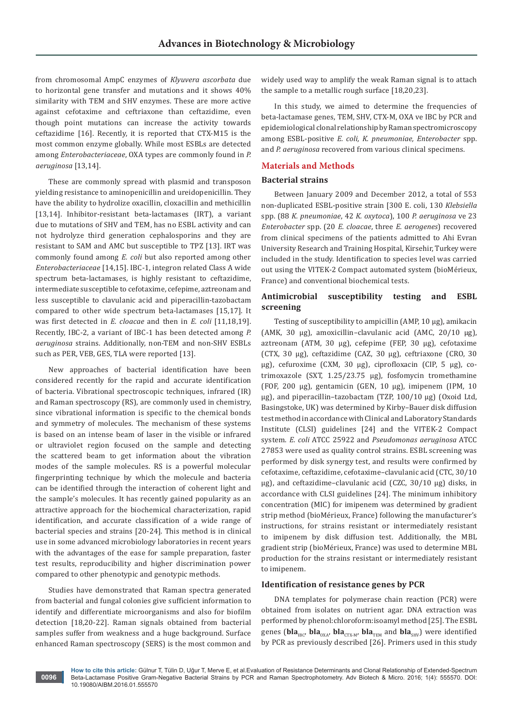from chromosomal AmpC enzymes of *Klyuvera ascorbata* due to horizontal gene transfer and mutations and it shows 40% similarity with TEM and SHV enzymes. These are more active against cefotaxime and ceftriaxone than ceftazidime, even though point mutations can increase the activity towards ceftazidime [16]. Recently, it is reported that CTX-M15 is the most common enzyme globally. While most ESBLs are detected among *Enterobacteriaceae*, OXA types are commonly found in *P. aeruginosa* [13,14].

These are commonly spread with plasmid and transposon yielding resistance to aminopenicillin and ureidopenicillin. They have the ability to hydrolize oxacillin, cloxacillin and methicillin [13,14]. Inhibitor-resistant beta-lactamases (IRT), a variant due to mutations of SHV and TEM, has no ESBL activity and can not hydrolyze third generation cephalosporins and they are resistant to SAM and AMC but susceptible to TPZ [13]. IRT was commonly found among *E. coli* but also reported among other *Enterobacteriaceae* [14,15]. IBC-1, integron related Class A wide spectrum beta-lactamases, is highly resistant to ceftazidime, intermediate susceptible to cefotaxime, cefepime, aztreonam and less susceptible to clavulanic acid and piperacillin-tazobactam compared to other wide spectrum beta-lactamases [15,17]. It was first detected in *E. cloacae* and then in *E. coli* [11,18,19]. Recently, IBC-2, a variant of IBC-1 has been detected among *P. aeruginosa* strains. Additionally, non-TEM and non-SHV ESBLs such as PER, VEB, GES, TLA were reported [13].

New approaches of bacterial identification have been considered recently for the rapid and accurate identification of bacteria. Vibrational spectroscopic techniques, infrared (IR) and Raman spectroscopy (RS), are commonly used in chemistry, since vibrational information is specific to the chemical bonds and symmetry of molecules. The mechanism of these systems is based on an intense beam of laser in the visible or infrared or ultraviolet region focused on the sample and detecting the scattered beam to get information about the vibration modes of the sample molecules. RS is a powerful molecular fingerprinting technique by which the molecule and bacteria can be identified through the interaction of coherent light and the sample's molecules. It has recently gained popularity as an attractive approach for the biochemical characterization, rapid identification, and accurate classification of a wide range of bacterial species and strains [20-24]. This method is in clinical use in some advanced microbiology laboratories in recent years with the advantages of the ease for sample preparation, faster test results, reproducibility and higher discrimination power compared to other phenotypic and genotypic methods.

Studies have demonstrated that Raman spectra generated from bacterial and fungal colonies give sufficient information to identify and differentiate microorganisms and also for biofilm detection [18,20-22]. Raman signals obtained from bacterial samples suffer from weakness and a huge background. Surface enhanced Raman spectroscopy (SERS) is the most common and widely used way to amplify the weak Raman signal is to attach the sample to a metallic rough surface [18,20,23].

In this study, we aimed to determine the frequencies of beta-lactamase genes, TEM, SHV, CTX-M, OXA ve IBC by PCR and epidemiological clonal relationship by Raman spectromicroscopy among ESBL-positive *E. coli, K. pneumoniae, Enterobacter* spp. and *P. aeruginosa* recovered from various clinical specimens.

# **Materials and Methods**

# **Bacterial strains**

Between January 2009 and December 2012, a total of 553 non-duplicated ESBL-positive strain [300 E. coli, 130 *Klebsiella* spp. (88 *K. pneumoniae*, 42 *K. oxytoca*), 100 *P. aeruginosa* ve 23 *Enterobacter* spp. (20 *E. cloacae*, three *E. aerogenes*) recovered from clinical specimens of the patients admitted to Ahi Evran University Research and Training Hospital, Kirsehir, Turkey were included in the study. Identification to species level was carried out using the VITEK-2 Compact automated system (bioMérieux, France) and conventional biochemical tests.

# **Antimicrobial susceptibility testing and ESBL screening**

Testing of susceptibility to ampicillin (AMP, 10 μg), amikacin (AMK, 30 μg), amoxicillin–clavulanic acid (AMC, 20/10 μg), aztreonam (ATM, 30 μg), cefepime (FEP, 30 μg), cefotaxime (CTX, 30 μg), ceftazidime (CAZ, 30 μg), ceftriaxone (CRO, 30 μg), cefuroxime (CXM, 30 μg), ciprofloxacin (CIP, 5 μg), cotrimoxazole (SXT, 1.25/23.75 μg), fosfomycin tromethamine (FOF, 200 μg), gentamicin (GEN, 10 μg), imipenem (IPM, 10 μg), and piperacillin–tazobactam (TZP, 100/10 μg) (Oxoid Ltd, Basingstoke, UK) was determined by Kirby–Bauer disk diffusion test method in accordance with Clinical and Laboratory Standards Institute (CLSI) guidelines [24] and the VITEK-2 Compact system. *E. coli* ATCC 25922 and *Pseudomonas aeruginosa* ATCC 27853 were used as quality control strains. ESBL screening was performed by disk synergy test, and results were confirmed by cefotaxime, ceftazidime, cefotaxime–clavulanic acid (CTC, 30/10 μg), and ceftazidime–clavulanic acid (CZC, 30/10 μg) disks, in accordance with CLSI guidelines [24]. The minimum inhibitory concentration (MIC) for imipenem was determined by gradient strip method (bioMérieux, France) following the manufacturer's instructions, for strains resistant or intermediately resistant to imipenem by disk diffusion test. Additionally, the MBL gradient strip (bioMérieux, France) was used to determine MBL production for the strains resistant or intermediately resistant to imipenem.

## **Identification of resistance genes by PCR**

DNA templates for polymerase chain reaction (PCR) were obtained from isolates on nutrient agar. DNA extraction was performed by phenol:chloroform:isoamyl method [25]. The ESBL genes ( $bla_{IRC}$ ,  $bla_{OX}$ ,  $bla_{CTX-M}$ ,  $bla_{TEM}$  and  $bla_{SHV}$ ) were identified by PCR as previously described [26]. Primers used in this study

**How to cite this article:** Gülnur T, Tülin D, Uğur T, Merve E, et al.Evaluation of Resistance Determinants and Clonal Relationship of Extended-Spectrum Beta-Lactamase Positive Gram-Negative Bacterial Strains by PCR and Raman Spectrophotometry. Adv Biotech & Micro. 2016; 1(4): 555570. DOI: [10.19080/AIBM.2016.01.555570](http://dx.doi.org/10.19080/AIBM.2016.01.555570
)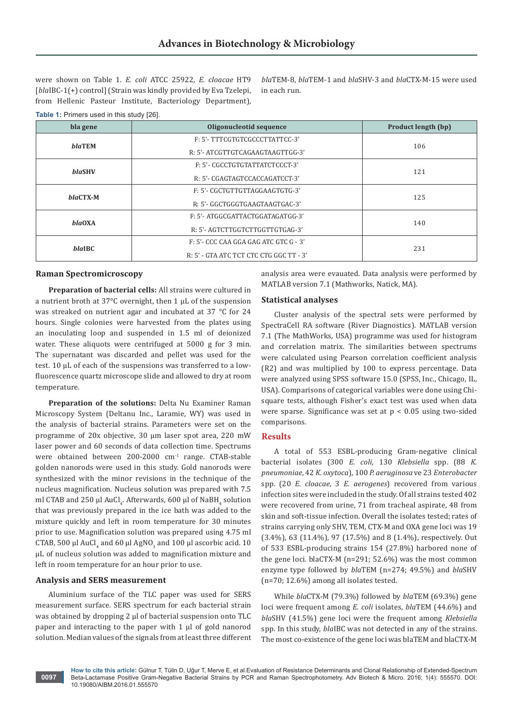were shown on Table 1. *E. coli* ATCC 25922, *E. cloacae* HT9 [*bla*IBC-1(+) control] (Strain was kindly provided by Eva Tzelepi, from Hellenic Pasteur Institute, Bacteriology Department), *bla*TEM-8, *bla*TEM-1 and *bla*SHV-3 and *bla*CTX-M-15 were used in each run.

#### **Table 1:** Primers used in this study [26].

| bla gene      | Oligonucleotid sequence                  | <b>Product length (bp)</b> |  |
|---------------|------------------------------------------|----------------------------|--|
| <b>blaTEM</b> | F: 5'- TTTCGTGTCGCCCTTATTCC-3'           | 106                        |  |
|               | R: 5'- ATCGTTGTCAGAAGTAAGTTGG-3'         |                            |  |
| <b>blaSHV</b> | F: 5'- CGCCTGTGTATTATCTCCCT-3'           | 121                        |  |
|               | R: 5'- CGAGTAGTCCACCAGATCCT-3'           |                            |  |
| $blaCTX-M$    | F: 5'- CGCTGTTGTTAGGAAGTGTG-3'           | 125                        |  |
|               | R: 5'- GGCTGGGTGAAGTAAGTGAC-3'           |                            |  |
| blaOXA        | F: 5'- ATGGCGATTACTGGATAGATGG-3'         | 140                        |  |
|               | R: 5'- AGTCTTGGTCTTGGTTGTGAG-3'          |                            |  |
| <b>blaIBC</b> | $F: 5'$ - CCC CAA GGA GAG ATC GTC G - 3' | 231                        |  |
|               | R: 5' - GTA ATC TCT CTC CTG GGC TT - 3'  |                            |  |

#### **Raman Spectromicroscopy**

**Preparation of bacterial cells:** All strains were cultured in a nutrient broth at 37°C overnight, then 1 µL of the suspension was streaked on nutrient agar and incubated at 37 °C for 24 hours. Single colonies were harvested from the plates using an inoculating loop and suspended in 1.5 ml of deionized water. These aliquots were centrifuged at 5000 g for 3 min. The supernatant was discarded and pellet was used for the test. 10 µL of each of the suspensions was transferred to a lowfluorescence quartz microscope slide and allowed to dry at room temperature.

**Preparation of the solutions:** Delta Nu Examiner Raman Microscopy System (Deltanu Inc., Laramie, WY) was used in the analysis of bacterial strains. Parameters were set on the programme of 20x objective, 30 µm laser spot area, 220 mW laser power and 60 seconds of data collection time. Spectrums were obtained between 200-2000 cm-1 range. CTAB-stable golden nanorods were used in this study. Gold nanorods were synthesized with the minor revisions in the technique of the nucleus magnification. Nucleus solution was prepared with 7.5 ml CTAB and 250  $\mu$ l AuCl<sub>4</sub>. Afterwards, 600  $\mu$ l of NaBH<sub>4</sub> solution that was previously prepared in the ice bath was added to the mixture quickly and left in room temperature for 30 minutes prior to use. Magnification solution was prepared using 4.75 ml CTAB, 500  $\mu$ l AuCl<sub>4</sub> and 60  $\mu$ l AgNO<sub>3</sub> and 100  $\mu$ l ascorbic acid. 10 µL of nucleus solution was added to magnification mixture and left in room temperature for an hour prior to use.

#### **Analysis and SERS measurement**

Aluminium surface of the TLC paper was used for SERS measurement surface. SERS spectrum for each bacterial strain was obtained by dropping 2 µl of bacterial suspension onto TLC paper and interacting to the paper with  $1 \mu$  of gold nanorod solution. Median values of the signals from at least three different analysis area were evauated. Data analysis were performed by MATLAB version 7.1 (Mathworks, Natick, MA).

# **Statistical analyses**

Cluster analysis of the spectral sets were performed by SpectraCell RA software (River Diagnostics). MATLAB version 7.1 (The MathWorks, USA) programme was used for histogram and correlation matrix. The similarities between spectrums were calculated using Pearson correlation coefficient analysis (R2) and was multiplied by 100 to express percentage. Data were analyzed using SPSS software 15.0 (SPSS, Inc., Chicago, IL, USA). Comparisons of categorical variables were done using Chisquare tests, although Fisher's exact test was used when data were sparse. Significance was set at  $p < 0.05$  using two-sided comparisons.

# **Results**

A total of 553 ESBL-producing Gram-negative clinical bacterial isolates (300 *E. coli*, 130 *Klebsiella* spp. (88 *K. pneumoniae*, 42 *K. oxytoca*), 100 *P. aeruginosa* ve 23 *Enterobacter* spp. (20 *E. cloacae*, 3 *E. aerogenes*) recovered from various infection sites were included in the study. Of all strains tested 402 were recovered from urine, 71 from tracheal aspirate, 48 from skin and soft-tissue infection. Overall the isolates tested; rates of strains carrying only SHV, TEM, CTX-M and OXA gene loci was 19 (3.4%), 63 (11.4%), 97 (17.5%) and 8 (1.4%), respectively. Out of 533 ESBL-producing strains 154 (27.8%) harbored none of the gene loci. blaCTX-M (n=291; 52.6%) was the most common enzyme type followed by *bla*TEM (n=274; 49.5%) and *bla*SHV (n=70; 12.6%) among all isolates tested.

While *bla*CTX-M (79.3%) followed by *bla*TEM (69.3%) gene loci were frequent among *E. coli* isolates, *bla*TEM (44.6%) and *bla*SHV (41.5%) gene loci were the frequent among *Klebsiella* spp. In this study, *bla*IBC was not detected in any of the strains. The most co-existence of the gene loci was blaTEM and blaCTX-M

**How to cite this article:** Gülnur T, Tülin D, Uğur T, Merve E, et al.Evaluation of Resistance Determinants and Clonal Relationship of Extended-Spectrum Beta-Lactamase Positive Gram-Negative Bacterial Strains by PCR and Raman Spectrophotometry. Adv Biotech & Micro. 2016; 1(4): 555570. DOI: [10.19080/AIBM.2016.01.555570](http://dx.doi.org/10.19080/AIBM.2016.01.555570
)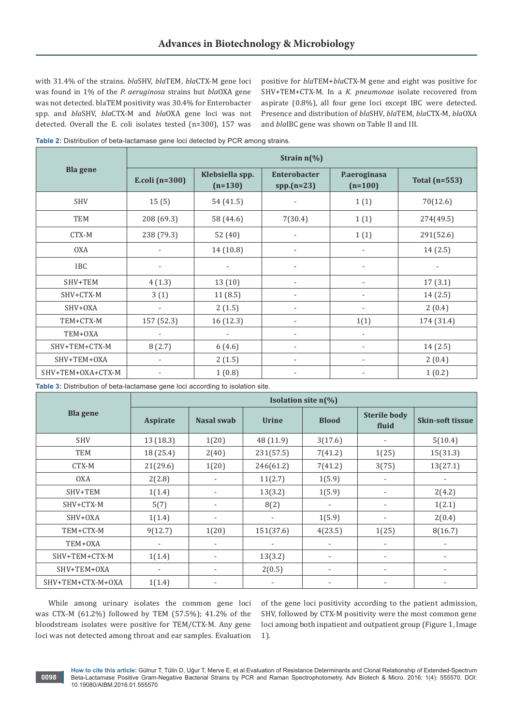with 31.4% of the strains. *bla*SHV, *bla*TEM, *bla*CTX-M gene loci was found in 1% of the *P. aeruginosa* strains but *bla*OXA gene was not detected. blaTEM positivity was 30.4% for Enterobacter spp. and *bla*SHV, *bla*CTX-M and *bla*OXA gene loci was not detected. Overall the E. coli isolates tested (n=300), 157 was

positive for *bla*TEM+*bla*CTX-M gene and eight was positive for SHV+TEM+CTX-M. In a *K. pneumonae* isolate recovered from aspirate (0.8%), all four gene loci except IBC were detected. Presence and distribution of *bla*SHV, *bla*TEM, *bla*CTX-M, *bla*OXA and *bla*IBC gene was shown on Table II and III.

**Table 2:** Distribution of beta-lactamase gene loci detected by PCR among strains.

|                   | Strain $n\frac{6}{6}$    |                              |                                     |                           |                 |  |  |
|-------------------|--------------------------|------------------------------|-------------------------------------|---------------------------|-----------------|--|--|
| <b>Bla gene</b>   | E.coli $(n=300)$         | Klebsiella spp.<br>$(n=130)$ | <b>Enterobacter</b><br>$spp.(n=23)$ | P.aeroginasa<br>$(n=100)$ | Total $(n=553)$ |  |  |
| <b>SHV</b>        | 15(5)                    | 54 (41.5)                    |                                     | 1(1)                      | 70(12.6)        |  |  |
| TEM               | 208 (69.3)               | 58 (44.6)                    | 7(30.4)                             | 1(1)                      | 274(49.5)       |  |  |
| CTX-M             | 238 (79.3)               | 52 (40)                      | $\overline{\phantom{a}}$            | 1(1)                      | 291(52.6)       |  |  |
| <b>OXA</b>        |                          | 14 (10.8)                    |                                     |                           | 14(2.5)         |  |  |
| <b>IBC</b>        | $\overline{\phantom{a}}$ |                              |                                     |                           |                 |  |  |
| SHV+TEM           | 4(1.3)                   | 13(10)                       |                                     |                           | 17(3.1)         |  |  |
| SHV+CTX-M         | 3(1)                     | 11(8.5)                      |                                     |                           | 14(2.5)         |  |  |
| SHV+OXA           | $\blacksquare$           | 2(1.5)                       |                                     |                           | 2(0.4)          |  |  |
| TEM+CTX-M         | 157 (52.3)               | 16 (12.3)                    |                                     | 1(1)                      | 174 (31.4)      |  |  |
| TEM+OXA           |                          | ÷,                           | $\overline{\phantom{a}}$            | $\blacksquare$            |                 |  |  |
| SHV+TEM+CTX-M     | 8(2.7)                   | 6(4.6)                       | $\overline{\phantom{a}}$            | $\blacksquare$            | 14(2.5)         |  |  |
| SHV+TEM+OXA       | $\sim$                   | 2(1.5)                       | $\overline{\phantom{a}}$            | $\overline{\phantom{m}}$  | 2(0.4)          |  |  |
| SHV+TEM+OXA+CTX-M |                          | 1(0.8)                       | $\overline{\phantom{a}}$            |                           | 1(0.2)          |  |  |

**Table 3:** Distribution of beta-lactamase gene loci according to isolation site.

|                   | Isolation site $n(\%)$ |                          |                          |              |                              |                          |  |
|-------------------|------------------------|--------------------------|--------------------------|--------------|------------------------------|--------------------------|--|
| <b>Bla</b> gene   | Aspirate               | <b>Nasal swab</b>        | <b>Urine</b>             | <b>Blood</b> | <b>Sterile body</b><br>fluid | <b>Skin-soft tissue</b>  |  |
| <b>SHV</b>        | 13 (18.3)              | 1(20)                    | 48 (11.9)                | 3(17.6)      |                              | 5(10.4)                  |  |
| <b>TEM</b>        | 18 (25.4)              | 2(40)                    | 231(57.5)                | 7(41.2)      | 1(25)                        | 15(31.3)                 |  |
| CTX-M             | 21(29.6)               | 1(20)                    | 246(61.2)                | 7(41.2)      | 3(75)                        | 13(27.1)                 |  |
| <b>OXA</b>        | 2(2.8)                 | ٠                        | 11(2.7)                  | 1(5.9)       |                              |                          |  |
| SHV+TEM           | 1(1.4)                 | $\overline{\phantom{a}}$ | 13(3.2)                  | 1(5.9)       |                              | 2(4.2)                   |  |
| SHV+CTX-M         | 5(7)                   | $\overline{\phantom{a}}$ | 8(2)                     |              |                              | 1(2.1)                   |  |
| SHV+OXA           | 1(1.4)                 | $\overline{\phantom{a}}$ | $\overline{\phantom{a}}$ | 1(5.9)       |                              | 2(0.4)                   |  |
| TEM+CTX-M         | 9(12.7)                | 1(20)                    | 151(37.6)                | 4(23.5)      | 1(25)                        | 8(16.7)                  |  |
| TEM+0XA           |                        | ٠                        |                          |              |                              | $\overline{\phantom{0}}$ |  |
| SHV+TEM+CTX-M     | 1(1.4)                 | $\overline{\phantom{a}}$ | 13(3.2)                  | ٠            | ۰                            | $\overline{\phantom{0}}$ |  |
| SHV+TEM+OXA       |                        | ٠                        | 2(0.5)                   | $\sim$       | ٠                            | $\overline{\phantom{0}}$ |  |
| SHV+TEM+CTX-M+OXA | 1(1.4)                 | $\overline{\phantom{a}}$ |                          |              |                              |                          |  |

While among urinary isolates the common gene loci was CTX-M (61.2%) followed by TEM (57.5%); 41.2% of the bloodstream isolates were positive for TEM/CTX-M. Any gene loci was not detected among throat and ear samples. Evaluation

of the gene loci positivity according to the patient admission, SHV, followed by CTX-M positivity were the most common gene loci among both inpatient and outpatient group (Figure 1, Image 1).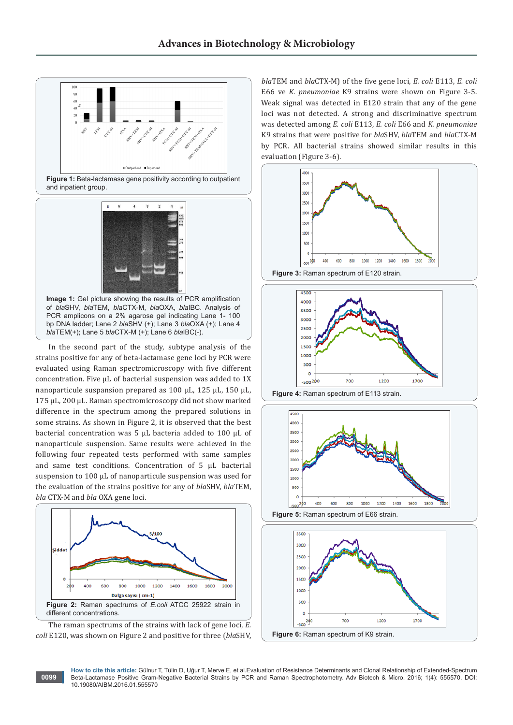

nanoparticule suspansion prepared as 100 μL, 125 μL, 150 μL, 175 μL, 200 μL. Raman spectromicroscopy did not show marked difference in the spectrum among the prepared solutions in some strains. As shown in Figure 2, it is observed that the best bacterial concentration was 5 μL bacteria added to 100 μL of nanoparticule suspension. Same results were achieved in the following four repeated tests performed with same samples and same test conditions. Concentration of 5 μL bacterial suspension to 100 μL of nanoparticule suspension was used for the evaluation of the strains positive for any of *bla*SHV, *bla*TEM, *bla* CTX-M and *bla* OXA gene loci.



The raman spectrums of the strains with lack of gene loci, *E. coli* E120, was shown on Figure 2 and positive for three (*bla*SHV,

**0099**

*bla*TEM and *bla*CTX-M) of the five gene loci, *E. coli* E113, *E. coli* E66 ve *K. pneumoniae* K9 strains were shown on Figure 3-5. Weak signal was detected in E120 strain that any of the gene loci was not detected. A strong and discriminative spectrum was detected among *E. coli* E113, *E. coli* E66 and *K. pneumoniae* K9 strains that were positive for *bla*SHV, *bla*TEM and *bla*CTX-M by PCR. All bacterial strains showed similar results in this evaluation (Figure 3-6).







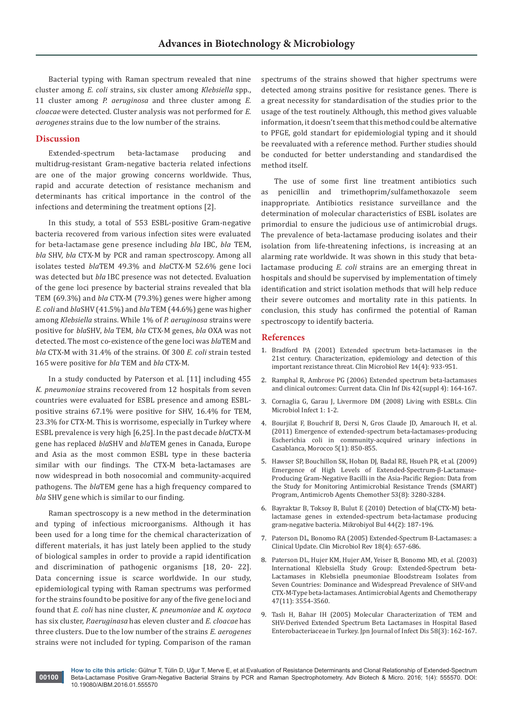Bacterial typing with Raman spectrum revealed that nine cluster among *E. coli* strains, six cluster among *Klebsiella* spp., 11 cluster among *P. aeruginosa* and three cluster among *E. cloacae* were detected. Cluster analysis was not performed for *E. aerogenes* strains due to the low number of the strains.

#### **Discussion**

Extended-spectrum beta-lactamase producing and multidrug-resistant Gram-negative bacteria related infections are one of the major growing concerns worldwide. Thus, rapid and accurate detection of resistance mechanism and determinants has critical importance in the control of the infections and determining the treatment options [2].

In this study, a total of 553 ESBL-positive Gram-negative bacteria recovered from various infection sites were evaluated for beta-lactamase gene presence including *bla* IBC, *bla* TEM, *bla* SHV, *bla* CTX-M by PCR and raman spectroscopy. Among all isolates tested *bla*TEM 49.3% and *bla*CTX-M 52.6% gene loci was detected but *bla* IBC presence was not detected. Evaluation of the gene loci presence by bacterial strains revealed that bla TEM (69.3%) and *bla* CTX-M (79.3%) genes were higher among *E. coli* and *bla*SHV (41.5%) and *bla* TEM (44.6%) gene was higher among *Klebsiella* strains. While 1% of *P. aeruginosa* strains were positive for *bla*SHV, *bla* TEM, *bla* CTX-M genes, *bla* OXA was not detected. The most co-existence of the gene loci was *bla*TEM and *bla* CTX-M with 31.4% of the strains. Of 300 *E. coli* strain tested 165 were positive for *bla* TEM and *bla* CTX-M.

In a study conducted by Paterson et al. [11] including 455 *K. pneumoniae* strains recovered from 12 hospitals from seven countries were evaluated for ESBL presence and among ESBLpositive strains 67.1% were positive for SHV, 16.4% for TEM, 23.3% for CTX-M. This is worrisome, especially in Turkey where ESBL prevalence is very high [6,25]. In the past decade *bla*CTX-M gene has replaced *bla*SHV and *bla*TEM genes in Canada, Europe and Asia as the most common ESBL type in these bacteria similar with our findings. The CTX-M beta-lactamases are now widespread in both nosocomial and community-acquired pathogens. The *bla*TEM gene has a high frequency compared to *bla* SHV gene which is similar to our finding.

Raman spectroscopy is a new method in the determination and typing of infectious microorganisms. Although it has been used for a long time for the chemical characterization of different materials, it has just lately been applied to the study of biological samples in order to provide a rapid identification and discrimination of pathogenic organisms [18, 20- 22]. Data concerning issue is scarce worldwide. In our study, epidemiological typing with Raman spectrums was performed for the strains found to be positive for any of the five gene loci and found that *E. coli* has nine cluster, *K. pneumoniae* and *K. oxytoca* has six cluster, *P.aeruginasa* has eleven cluster and *E. cloacae* has three clusters. Due to the low number of the strains *E. aerogenes* strains were not included for typing. Comparison of the raman

spectrums of the strains showed that higher spectrums were detected among strains positive for resistance genes. There is a great necessity for standardisation of the studies prior to the usage of the test routinely. Although, this method gives valuable information, it doesn't seem that this method could be alternative to PFGE, gold standart for epidemiologial typing and it should be reevaluated with a reference method. Further studies should be conducted for better understanding and standardised the method itself.

The use of some first line treatment antibiotics such as penicillin and trimethoprim/sulfamethoxazole seem inappropriate. Antibiotics resistance surveillance and the determination of molecular characteristics of ESBL isolates are primordial to ensure the judicious use of antimicrobial drugs. The prevalence of beta-lactamase producing isolates and their isolation from life-threatening infections, is increasing at an alarming rate worldwide. It was shown in this study that betalactamase producing *E. coli* strains are an emerging threat in hospitals and should be supervised by implementation of timely identification and strict isolation methods that will help reduce their severe outcomes and mortality rate in this patients. In conclusion, this study has confirmed the potential of Raman spectroscopy to identify bacteria.

#### **References**

- 1. [Bradford PA \(2001\) Extended spectrum beta-lactamases in the](https://www.ncbi.nlm.nih.gov/pubmed/11585791)  [21st century. Characterization, epidemiology and detection of this](https://www.ncbi.nlm.nih.gov/pubmed/11585791)  [important rezistance threat. Clin Microbiol Rev 14\(4\): 933-951.](https://www.ncbi.nlm.nih.gov/pubmed/11585791)
- 2. [Ramphal R, Ambrose PG \(2006\) Extended spectrum beta-lactamases](https://www.ncbi.nlm.nih.gov/pubmed/16544267)  [and clinical outcomes: Current data. Clin Inf Dis 42\(suppl 4\): 164-167.](https://www.ncbi.nlm.nih.gov/pubmed/16544267)
- 3. [Cornaglia G, Garau J, Livermore DM \(2008\) Living with ESBLs. Clin](https://www.ncbi.nlm.nih.gov/pubmed/18154523)  [Microbiol Infect 1: 1-2.](https://www.ncbi.nlm.nih.gov/pubmed/18154523)
- 4. [Bourjilat F, Bouchrif B, Dersi N, Gros Claude JD, Amarouch H, et al.](https://www.ncbi.nlm.nih.gov/pubmed/22169783)  [\(2011\) Emergence of extended-spectrum beta-lactamases-producing](https://www.ncbi.nlm.nih.gov/pubmed/22169783)  [Escherichia coli in community-acquired urinary infections in](https://www.ncbi.nlm.nih.gov/pubmed/22169783)  [Casablanca, Morocco 5\(1\): 850-855.](https://www.ncbi.nlm.nih.gov/pubmed/22169783)
- 5. [Hawser SP, Bouchillon SK, Hoban DJ, Badal RE, Hsueh PR, et al. \(2009\)](https://www.ncbi.nlm.nih.gov/pubmed/19506060)  [Emergence of High Levels of Extended-Spectrum-β-Lactamase-](https://www.ncbi.nlm.nih.gov/pubmed/19506060)[Producing Gram-Negative Bacilli in the Asia-Pacific Region: Data from](https://www.ncbi.nlm.nih.gov/pubmed/19506060)  [the Study for Monitoring Antimicrobial Resistance Trends \(SMART\)](https://www.ncbi.nlm.nih.gov/pubmed/19506060)  [Program, Antimicrob Agents Chemother 53\(8\): 3280-3284.](https://www.ncbi.nlm.nih.gov/pubmed/19506060)
- 6. [Bayraktar B, Toksoy B, Bulut E \(2010\) Detection of bla\(CTX-M\) beta](https://www.ncbi.nlm.nih.gov/pubmed/20549952)[lactamase genes in extended-spectrum beta-lactamase producing](https://www.ncbi.nlm.nih.gov/pubmed/20549952)  [gram-negative bacteria. Mikrobiyol Bul 44\(2\): 187-196.](https://www.ncbi.nlm.nih.gov/pubmed/20549952)
- 7. [Paterson DL, Bonomo RA \(2005\) Extended-Spectrum B-Lactamases: a](https://www.ncbi.nlm.nih.gov/pubmed/16223952)  [Clinical Update. Clin Microbiol Rev 18\(4\): 657-686.](https://www.ncbi.nlm.nih.gov/pubmed/16223952)
- 8. [Paterson DL, Hujer KM, Hujer AM, Yeiser B, Bonomo MD, et al. \(2003\)](https://www.ncbi.nlm.nih.gov/pubmed/14576117)  [International Klebsiella Study Group: Extended-Spectrum beta-](https://www.ncbi.nlm.nih.gov/pubmed/14576117)[Lactamases in Klebsiella pneumoniae Bloodstream Isolates from](https://www.ncbi.nlm.nih.gov/pubmed/14576117)  [Seven Countries: Dominance and Widespread Prevalence of SHV-and](https://www.ncbi.nlm.nih.gov/pubmed/14576117)  [CTX-M-Type beta-lactamases. Antimicrobial Agents and Chemotherapy](https://www.ncbi.nlm.nih.gov/pubmed/14576117)  [47\(11\): 3554-3560.](https://www.ncbi.nlm.nih.gov/pubmed/14576117)
- 9. [Taslı H, Bahar IH \(2005\) Molecular Characterization of TEM and](https://www.ncbi.nlm.nih.gov/pubmed/15973008)  [SHV-Derived Extended Spectrum Beta Lactamases in Hospital Based](https://www.ncbi.nlm.nih.gov/pubmed/15973008)  [Enterobacteriaceae in Turkey. Jpn Journal of Infect Dis 58\(3\): 162-167.](https://www.ncbi.nlm.nih.gov/pubmed/15973008)